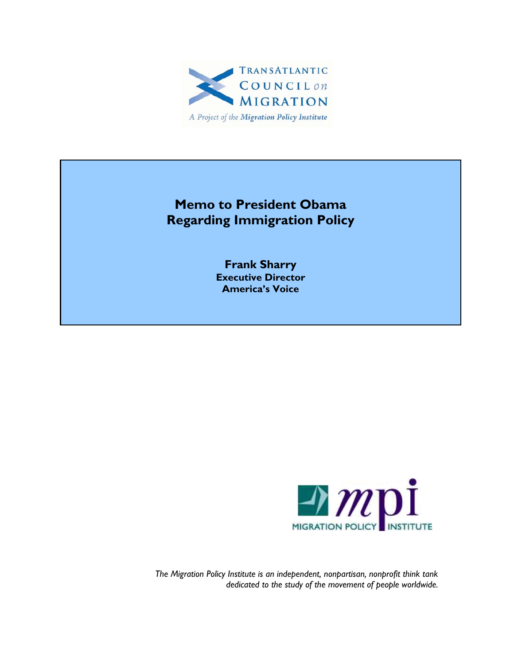

### **Memo to President Obama Regarding Immigration Policy**

**Frank Sharry Executive Director America's Voice** 



*The Migration Policy Institute is an independent, nonpartisan, nonprofit think tank dedicated to the study of the movement of people worldwide.*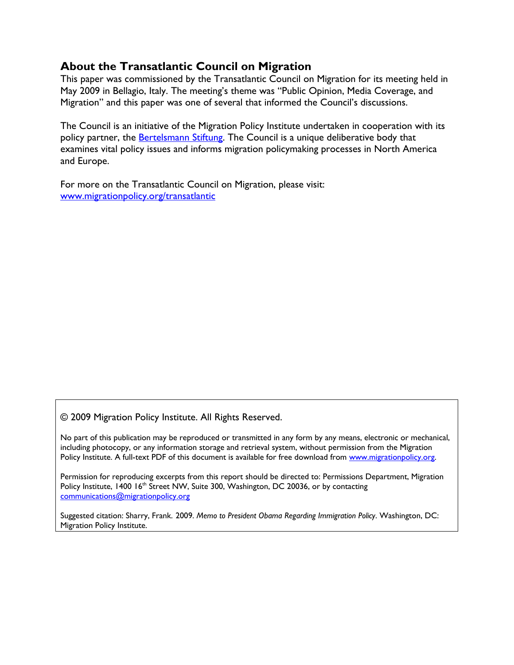### **About the Transatlantic Council on Migration**

This paper was commissioned by the Transatlantic Council on Migration for its meeting held in May 2009 in Bellagio, Italy. The meeting's theme was "Public Opinion, Media Coverage, and Migration" and this paper was one of several that informed the Council's discussions.

The Council is an initiative of the Migration Policy Institute undertaken in cooperation with its policy partner, the **Bertelsmann Stiftung**. The Council is a unique deliberative body that examines vital policy issues and informs migration policymaking processes in North America and Europe.

For more on the Transatlantic Council on Migration, please visit: www.migrationpolicy.org/transatlantic

© 2009 Migration Policy Institute. All Rights Reserved.

No part of this publication may be reproduced or transmitted in any form by any means, electronic or mechanical, including photocopy, or any information storage and retrieval system, without permission from the Migration Policy Institute. A full-text PDF of this document is available for free download from www.migrationpolicy.org.

Permission for reproducing excerpts from this report should be directed to: Permissions Department, Migration Policy Institute, 1400 16<sup>th</sup> Street NW, Suite 300, Washington, DC 20036, or by contacting communications@migrationpolicy.org

Suggested citation: Sharry, Frank. 2009. *Memo to President Obama Regarding Immigration Policy*. Washington, DC: Migration Policy Institute.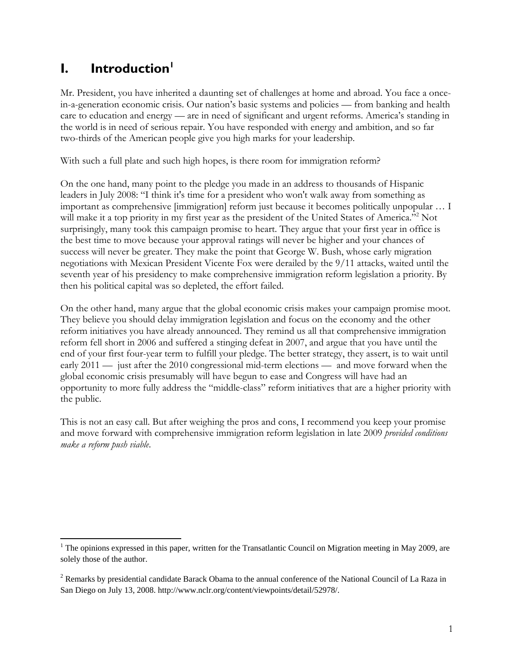### **I.** Introduction<sup>1</sup>

 $\overline{a}$ 

Mr. President, you have inherited a daunting set of challenges at home and abroad. You face a oncein-a-generation economic crisis. Our nation's basic systems and policies — from banking and health care to education and energy — are in need of significant and urgent reforms. America's standing in the world is in need of serious repair. You have responded with energy and ambition, and so far two-thirds of the American people give you high marks for your leadership.

With such a full plate and such high hopes, is there room for immigration reform?

On the one hand, many point to the pledge you made in an address to thousands of Hispanic leaders in July 2008: "I think it's time for a president who won't walk away from something as important as comprehensive [immigration] reform just because it becomes politically unpopular … I will make it a top priority in my first year as the president of the United States of America."<sup>2</sup> Not surprisingly, many took this campaign promise to heart. They argue that your first year in office is the best time to move because your approval ratings will never be higher and your chances of success will never be greater. They make the point that George W. Bush, whose early migration negotiations with Mexican President Vicente Fox were derailed by the 9/11 attacks, waited until the seventh year of his presidency to make comprehensive immigration reform legislation a priority. By then his political capital was so depleted, the effort failed.

On the other hand, many argue that the global economic crisis makes your campaign promise moot. They believe you should delay immigration legislation and focus on the economy and the other reform initiatives you have already announced. They remind us all that comprehensive immigration reform fell short in 2006 and suffered a stinging defeat in 2007, and argue that you have until the end of your first four-year term to fulfill your pledge. The better strategy, they assert, is to wait until early 2011 — just after the 2010 congressional mid-term elections — and move forward when the global economic crisis presumably will have begun to ease and Congress will have had an opportunity to more fully address the "middle-class" reform initiatives that are a higher priority with the public.

This is not an easy call. But after weighing the pros and cons, I recommend you keep your promise and move forward with comprehensive immigration reform legislation in late 2009 *provided conditions make a reform push viable*.

<sup>&</sup>lt;sup>1</sup> The opinions expressed in this paper, written for the Transatlantic Council on Migration meeting in May 2009, are solely those of the author.

 $2^2$  Remarks by presidential candidate Barack Obama to the annual conference of the National Council of La Raza in San Diego on July 13, 2008. http://www.nclr.org/content/viewpoints/detail/52978/.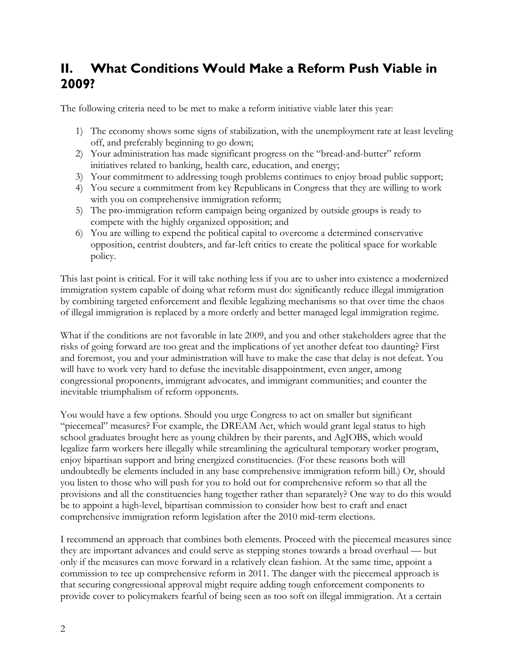### **II. What Conditions Would Make a Reform Push Viable in 2009?**

The following criteria need to be met to make a reform initiative viable later this year:

- 1) The economy shows some signs of stabilization, with the unemployment rate at least leveling off, and preferably beginning to go down;
- 2) Your administration has made significant progress on the "bread-and-butter" reform initiatives related to banking, health care, education, and energy;
- 3) Your commitment to addressing tough problems continues to enjoy broad public support;
- 4) You secure a commitment from key Republicans in Congress that they are willing to work with you on comprehensive immigration reform;
- 5) The pro-immigration reform campaign being organized by outside groups is ready to compete with the highly organized opposition; and
- 6) You are willing to expend the political capital to overcome a determined conservative opposition, centrist doubters, and far-left critics to create the political space for workable policy.

This last point is critical. For it will take nothing less if you are to usher into existence a modernized immigration system capable of doing what reform must do: significantly reduce illegal immigration by combining targeted enforcement and flexible legalizing mechanisms so that over time the chaos of illegal immigration is replaced by a more orderly and better managed legal immigration regime.

What if the conditions are not favorable in late 2009, and you and other stakeholders agree that the risks of going forward are too great and the implications of yet another defeat too daunting? First and foremost, you and your administration will have to make the case that delay is not defeat. You will have to work very hard to defuse the inevitable disappointment, even anger, among congressional proponents, immigrant advocates, and immigrant communities; and counter the inevitable triumphalism of reform opponents.

You would have a few options. Should you urge Congress to act on smaller but significant "piecemeal" measures? For example, the DREAM Act, which would grant legal status to high school graduates brought here as young children by their parents, and AgJOBS, which would legalize farm workers here illegally while streamlining the agricultural temporary worker program, enjoy bipartisan support and bring energized constituencies. (For these reasons both will undoubtedly be elements included in any base comprehensive immigration reform bill.) Or, should you listen to those who will push for you to hold out for comprehensive reform so that all the provisions and all the constituencies hang together rather than separately? One way to do this would be to appoint a high-level, bipartisan commission to consider how best to craft and enact comprehensive immigration reform legislation after the 2010 mid-term elections.

I recommend an approach that combines both elements. Proceed with the piecemeal measures since they are important advances and could serve as stepping stones towards a broad overhaul — but only if the measures can move forward in a relatively clean fashion. At the same time, appoint a commission to tee up comprehensive reform in 2011. The danger with the piecemeal approach is that securing congressional approval might require adding tough enforcement components to provide cover to policymakers fearful of being seen as too soft on illegal immigration. At a certain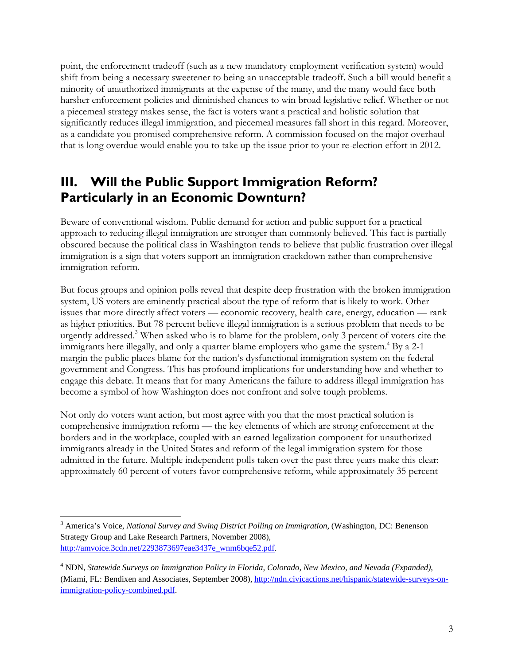point, the enforcement tradeoff (such as a new mandatory employment verification system) would shift from being a necessary sweetener to being an unacceptable tradeoff. Such a bill would benefit a minority of unauthorized immigrants at the expense of the many, and the many would face both harsher enforcement policies and diminished chances to win broad legislative relief. Whether or not a piecemeal strategy makes sense, the fact is voters want a practical and holistic solution that significantly reduces illegal immigration, and piecemeal measures fall short in this regard. Moreover, as a candidate you promised comprehensive reform. A commission focused on the major overhaul that is long overdue would enable you to take up the issue prior to your re-election effort in 2012.

### **III. Will the Public Support Immigration Reform? Particularly in an Economic Downturn?**

Beware of conventional wisdom. Public demand for action and public support for a practical approach to reducing illegal immigration are stronger than commonly believed. This fact is partially obscured because the political class in Washington tends to believe that public frustration over illegal immigration is a sign that voters support an immigration crackdown rather than comprehensive immigration reform.

But focus groups and opinion polls reveal that despite deep frustration with the broken immigration system, US voters are eminently practical about the type of reform that is likely to work. Other issues that more directly affect voters — economic recovery, health care, energy, education — rank as higher priorities. But 78 percent believe illegal immigration is a serious problem that needs to be urgently addressed.<sup>3</sup> When asked who is to blame for the problem, only 3 percent of voters cite the immigrants here illegally, and only a quarter blame employers who game the system.<sup>4</sup> By a 2-1 margin the public places blame for the nation's dysfunctional immigration system on the federal government and Congress. This has profound implications for understanding how and whether to engage this debate. It means that for many Americans the failure to address illegal immigration has become a symbol of how Washington does not confront and solve tough problems.

Not only do voters want action, but most agree with you that the most practical solution is comprehensive immigration reform — the key elements of which are strong enforcement at the borders and in the workplace, coupled with an earned legalization component for unauthorized immigrants already in the United States and reform of the legal immigration system for those admitted in the future. Multiple independent polls taken over the past three years make this clear: approximately 60 percent of voters favor comprehensive reform, while approximately 35 percent

1

<sup>3</sup> America's Voice, *National Survey and Swing District Polling on Immigration*, (Washington, DC: Benenson Strategy Group and Lake Research Partners, November 2008), http://amvoice.3cdn.net/2293873697eae3437e\_wnm6bqe52.pdf.

<sup>4</sup> NDN, *Statewide Surveys on Immigration Policy in Florida, Colorado, New Mexico, and Nevada (Expanded)*, (Miami, FL: Bendixen and Associates, September 2008), http://ndn.civicactions.net/hispanic/statewide-surveys-onimmigration-policy-combined.pdf.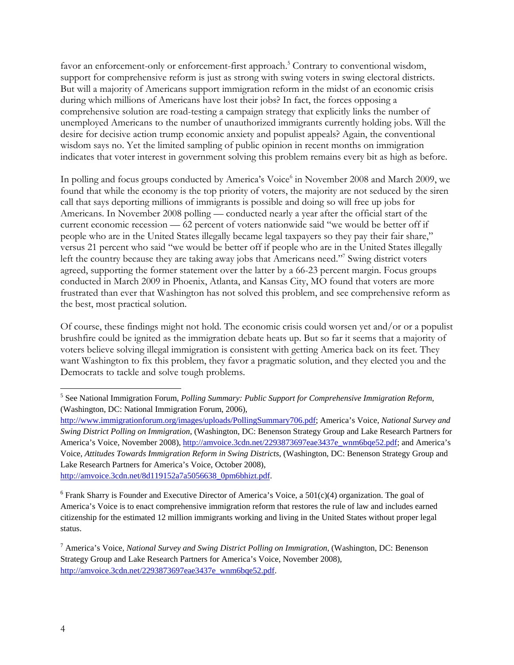favor an enforcement-only or enforcement-first approach.<sup>5</sup> Contrary to conventional wisdom, support for comprehensive reform is just as strong with swing voters in swing electoral districts. But will a majority of Americans support immigration reform in the midst of an economic crisis during which millions of Americans have lost their jobs? In fact, the forces opposing a comprehensive solution are road-testing a campaign strategy that explicitly links the number of unemployed Americans to the number of unauthorized immigrants currently holding jobs. Will the desire for decisive action trump economic anxiety and populist appeals? Again, the conventional wisdom says no. Yet the limited sampling of public opinion in recent months on immigration indicates that voter interest in government solving this problem remains every bit as high as before.

In polling and focus groups conducted by America's Voice<sup>6</sup> in November 2008 and March 2009, we found that while the economy is the top priority of voters, the majority are not seduced by the siren call that says deporting millions of immigrants is possible and doing so will free up jobs for Americans. In November 2008 polling — conducted nearly a year after the official start of the current economic recession — 62 percent of voters nationwide said "we would be better off if people who are in the United States illegally became legal taxpayers so they pay their fair share," versus 21 percent who said "we would be better off if people who are in the United States illegally left the country because they are taking away jobs that Americans need."<sup>7</sup> Swing district voters agreed, supporting the former statement over the latter by a 66-23 percent margin. Focus groups conducted in March 2009 in Phoenix, Atlanta, and Kansas City, MO found that voters are more frustrated than ever that Washington has not solved this problem, and see comprehensive reform as the best, most practical solution.

Of course, these findings might not hold. The economic crisis could worsen yet and/or or a populist brushfire could be ignited as the immigration debate heats up. But so far it seems that a majority of voters believe solving illegal immigration is consistent with getting America back on its feet. They want Washington to fix this problem, they favor a pragmatic solution, and they elected you and the Democrats to tackle and solve tough problems.

 $\overline{a}$ 

<sup>5</sup> See National Immigration Forum, *Polling Summary: Public Support for Comprehensive Immigration Reform*, (Washington, DC: National Immigration Forum, 2006),

http://www.immigrationforum.org/images/uploads/PollingSummary706.pdf; America's Voice, *National Survey and Swing District Polling on Immigration*, (Washington, DC: Benenson Strategy Group and Lake Research Partners for America's Voice, November 2008), http://amvoice.3cdn.net/2293873697eae3437e\_wnm6bqe52.pdf; and America's Voice, *Attitudes Towards Immigration Reform in Swing Districts*, (Washington, DC: Benenson Strategy Group and Lake Research Partners for America's Voice, October 2008), http://amvoice.3cdn.net/8d119152a7a5056638\_0pm6bhizt.pdf.

<sup>&</sup>lt;sup>6</sup> Frank Sharry is Founder and Executive Director of America's Voice, a  $501(c)(4)$  organization. The goal of America's Voice is to enact comprehensive immigration reform that restores the rule of law and includes earned citizenship for the estimated 12 million immigrants working and living in the United States without proper legal status.

<sup>7</sup> America's Voice, *National Survey and Swing District Polling on Immigration*, (Washington, DC: Benenson Strategy Group and Lake Research Partners for America's Voice, November 2008), http://amvoice.3cdn.net/2293873697eae3437e\_wnm6bqe52.pdf.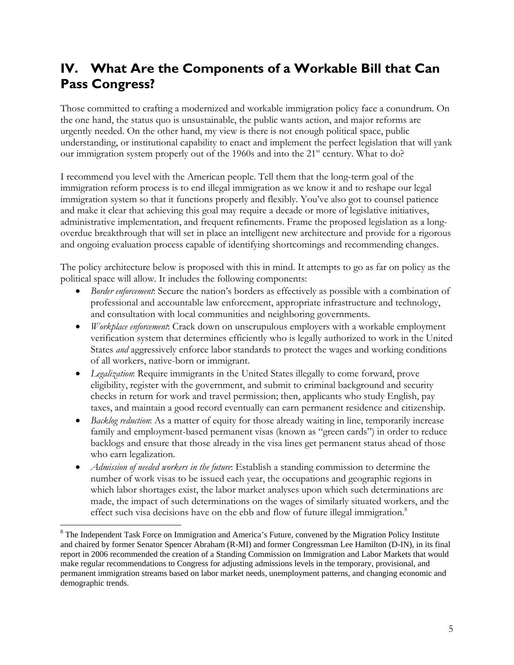## **IV. What Are the Components of a Workable Bill that Can Pass Congress?**

Those committed to crafting a modernized and workable immigration policy face a conundrum. On the one hand, the status quo is unsustainable, the public wants action, and major reforms are urgently needed. On the other hand, my view is there is not enough political space, public understanding, or institutional capability to enact and implement the perfect legislation that will yank our immigration system properly out of the 1960s and into the 21<sup>st</sup> century. What to do?

I recommend you level with the American people. Tell them that the long-term goal of the immigration reform process is to end illegal immigration as we know it and to reshape our legal immigration system so that it functions properly and flexibly. You've also got to counsel patience and make it clear that achieving this goal may require a decade or more of legislative initiatives, administrative implementation, and frequent refinements. Frame the proposed legislation as a longoverdue breakthrough that will set in place an intelligent new architecture and provide for a rigorous and ongoing evaluation process capable of identifying shortcomings and recommending changes.

The policy architecture below is proposed with this in mind. It attempts to go as far on policy as the political space will allow. It includes the following components:

- *Border enforcement*: Secure the nation's borders as effectively as possible with a combination of professional and accountable law enforcement, appropriate infrastructure and technology, and consultation with local communities and neighboring governments.
- *Workplace enforcement*: Crack down on unscrupulous employers with a workable employment verification system that determines efficiently who is legally authorized to work in the United States *and* aggressively enforce labor standards to protect the wages and working conditions of all workers, native-born or immigrant.
- *Legalization*: Require immigrants in the United States illegally to come forward, prove eligibility, register with the government, and submit to criminal background and security checks in return for work and travel permission; then, applicants who study English, pay taxes, and maintain a good record eventually can earn permanent residence and citizenship.
- *Backlog reduction*: As a matter of equity for those already waiting in line, temporarily increase family and employment-based permanent visas (known as "green cards") in order to reduce backlogs and ensure that those already in the visa lines get permanent status ahead of those who earn legalization.
- *Admission of needed workers in the future*: Establish a standing commission to determine the number of work visas to be issued each year, the occupations and geographic regions in which labor shortages exist, the labor market analyses upon which such determinations are made, the impact of such determinations on the wages of similarly situated workers, and the effect such visa decisions have on the ebb and flow of future illegal immigration.<sup>8</sup>

 $\overline{a}$ 

<sup>&</sup>lt;sup>8</sup> The Independent Task Force on Immigration and America's Future, convened by the Migration Policy Institute and chaired by former Senator Spencer Abraham (R-MI) and former Congressman Lee Hamilton (D-IN), in its final report in 2006 recommended the creation of a Standing Commission on Immigration and Labor Markets that would make regular recommendations to Congress for adjusting admissions levels in the temporary, provisional, and permanent immigration streams based on labor market needs, unemployment patterns, and changing economic and demographic trends.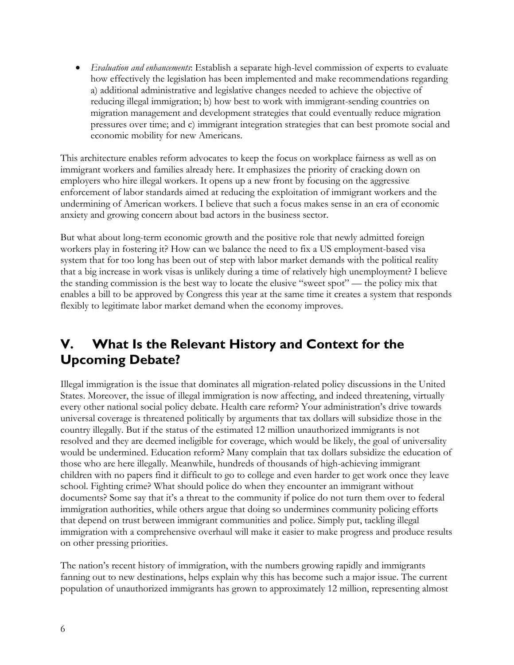• *Evaluation and enhancements*: Establish a separate high-level commission of experts to evaluate how effectively the legislation has been implemented and make recommendations regarding a) additional administrative and legislative changes needed to achieve the objective of reducing illegal immigration; b) how best to work with immigrant-sending countries on migration management and development strategies that could eventually reduce migration pressures over time; and c) immigrant integration strategies that can best promote social and economic mobility for new Americans.

This architecture enables reform advocates to keep the focus on workplace fairness as well as on immigrant workers and families already here. It emphasizes the priority of cracking down on employers who hire illegal workers. It opens up a new front by focusing on the aggressive enforcement of labor standards aimed at reducing the exploitation of immigrant workers and the undermining of American workers. I believe that such a focus makes sense in an era of economic anxiety and growing concern about bad actors in the business sector.

But what about long-term economic growth and the positive role that newly admitted foreign workers play in fostering it? How can we balance the need to fix a US employment-based visa system that for too long has been out of step with labor market demands with the political reality that a big increase in work visas is unlikely during a time of relatively high unemployment? I believe the standing commission is the best way to locate the elusive "sweet spot" — the policy mix that enables a bill to be approved by Congress this year at the same time it creates a system that responds flexibly to legitimate labor market demand when the economy improves.

## **V. What Is the Relevant History and Context for the Upcoming Debate?**

Illegal immigration is the issue that dominates all migration-related policy discussions in the United States. Moreover, the issue of illegal immigration is now affecting, and indeed threatening, virtually every other national social policy debate. Health care reform? Your administration's drive towards universal coverage is threatened politically by arguments that tax dollars will subsidize those in the country illegally. But if the status of the estimated 12 million unauthorized immigrants is not resolved and they are deemed ineligible for coverage, which would be likely, the goal of universality would be undermined. Education reform? Many complain that tax dollars subsidize the education of those who are here illegally. Meanwhile, hundreds of thousands of high-achieving immigrant children with no papers find it difficult to go to college and even harder to get work once they leave school. Fighting crime? What should police do when they encounter an immigrant without documents? Some say that it's a threat to the community if police do not turn them over to federal immigration authorities, while others argue that doing so undermines community policing efforts that depend on trust between immigrant communities and police. Simply put, tackling illegal immigration with a comprehensive overhaul will make it easier to make progress and produce results on other pressing priorities.

The nation's recent history of immigration, with the numbers growing rapidly and immigrants fanning out to new destinations, helps explain why this has become such a major issue. The current population of unauthorized immigrants has grown to approximately 12 million, representing almost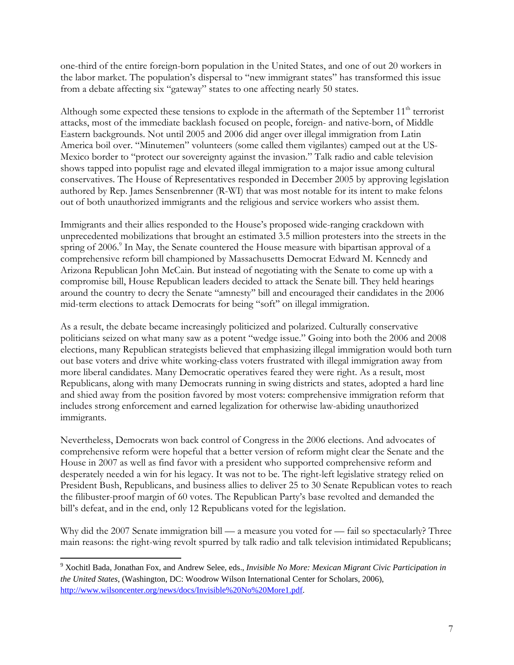one-third of the entire foreign-born population in the United States, and one of out 20 workers in the labor market. The population's dispersal to "new immigrant states" has transformed this issue from a debate affecting six "gateway" states to one affecting nearly 50 states.

Although some expected these tensions to explode in the aftermath of the September  $11<sup>th</sup>$  terrorist attacks, most of the immediate backlash focused on people, foreign- and native-born, of Middle Eastern backgrounds. Not until 2005 and 2006 did anger over illegal immigration from Latin America boil over. "Minutemen" volunteers (some called them vigilantes) camped out at the US-Mexico border to "protect our sovereignty against the invasion." Talk radio and cable television shows tapped into populist rage and elevated illegal immigration to a major issue among cultural conservatives. The House of Representatives responded in December 2005 by approving legislation authored by Rep. James Sensenbrenner (R-WI) that was most notable for its intent to make felons out of both unauthorized immigrants and the religious and service workers who assist them.

Immigrants and their allies responded to the House's proposed wide-ranging crackdown with unprecedented mobilizations that brought an estimated 3.5 million protesters into the streets in the spring of 2006.<sup>9</sup> In May, the Senate countered the House measure with bipartisan approval of a comprehensive reform bill championed by Massachusetts Democrat Edward M. Kennedy and Arizona Republican John McCain. But instead of negotiating with the Senate to come up with a compromise bill, House Republican leaders decided to attack the Senate bill. They held hearings around the country to decry the Senate "amnesty'' bill and encouraged their candidates in the 2006 mid-term elections to attack Democrats for being "soft'' on illegal immigration.

As a result, the debate became increasingly politicized and polarized. Culturally conservative politicians seized on what many saw as a potent "wedge issue." Going into both the 2006 and 2008 elections, many Republican strategists believed that emphasizing illegal immigration would both turn out base voters and drive white working-class voters frustrated with illegal immigration away from more liberal candidates. Many Democratic operatives feared they were right. As a result, most Republicans, along with many Democrats running in swing districts and states, adopted a hard line and shied away from the position favored by most voters: comprehensive immigration reform that includes strong enforcement and earned legalization for otherwise law-abiding unauthorized immigrants.

Nevertheless, Democrats won back control of Congress in the 2006 elections. And advocates of comprehensive reform were hopeful that a better version of reform might clear the Senate and the House in 2007 as well as find favor with a president who supported comprehensive reform and desperately needed a win for his legacy. It was not to be. The right-left legislative strategy relied on President Bush, Republicans, and business allies to deliver 25 to 30 Senate Republican votes to reach the filibuster-proof margin of 60 votes. The Republican Party's base revolted and demanded the bill's defeat, and in the end, only 12 Republicans voted for the legislation.

Why did the 2007 Senate immigration bill — a measure you voted for — fail so spectacularly? Three main reasons: the right-wing revolt spurred by talk radio and talk television intimidated Republicans;

 $\overline{a}$ 

<sup>9</sup> Xochitl Bada, Jonathan Fox, and Andrew Selee, eds., *Invisible No More: Mexican Migrant Civic Participation in the United States*, (Washington, DC: Woodrow Wilson International Center for Scholars, 2006), http://www.wilsoncenter.org/news/docs/Invisible%20No%20More1.pdf.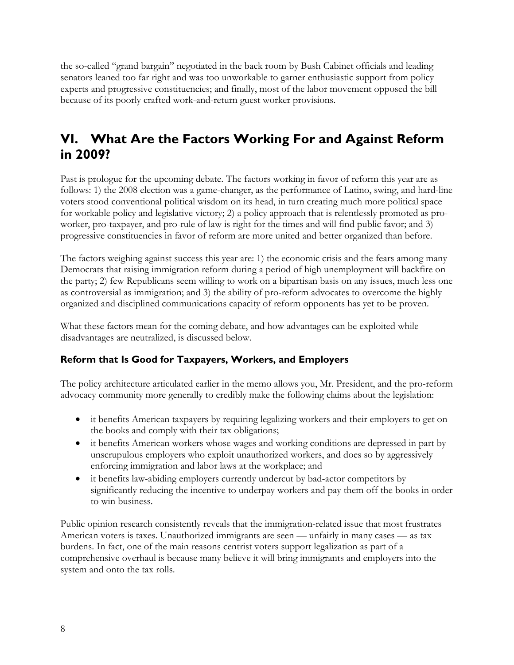the so-called "grand bargain" negotiated in the back room by Bush Cabinet officials and leading senators leaned too far right and was too unworkable to garner enthusiastic support from policy experts and progressive constituencies; and finally, most of the labor movement opposed the bill because of its poorly crafted work-and-return guest worker provisions.

## **VI. What Are the Factors Working For and Against Reform in 2009?**

Past is prologue for the upcoming debate. The factors working in favor of reform this year are as follows: 1) the 2008 election was a game-changer, as the performance of Latino, swing, and hard-line voters stood conventional political wisdom on its head, in turn creating much more political space for workable policy and legislative victory; 2) a policy approach that is relentlessly promoted as proworker, pro-taxpayer, and pro-rule of law is right for the times and will find public favor; and 3) progressive constituencies in favor of reform are more united and better organized than before.

The factors weighing against success this year are: 1) the economic crisis and the fears among many Democrats that raising immigration reform during a period of high unemployment will backfire on the party; 2) few Republicans seem willing to work on a bipartisan basis on any issues, much less one as controversial as immigration; and 3) the ability of pro-reform advocates to overcome the highly organized and disciplined communications capacity of reform opponents has yet to be proven.

What these factors mean for the coming debate, and how advantages can be exploited while disadvantages are neutralized, is discussed below.

#### **Reform that Is Good for Taxpayers, Workers, and Employers**

The policy architecture articulated earlier in the memo allows you, Mr. President, and the pro-reform advocacy community more generally to credibly make the following claims about the legislation:

- it benefits American taxpayers by requiring legalizing workers and their employers to get on the books and comply with their tax obligations;
- it benefits American workers whose wages and working conditions are depressed in part by unscrupulous employers who exploit unauthorized workers, and does so by aggressively enforcing immigration and labor laws at the workplace; and
- it benefits law-abiding employers currently undercut by bad-actor competitors by significantly reducing the incentive to underpay workers and pay them off the books in order to win business.

Public opinion research consistently reveals that the immigration-related issue that most frustrates American voters is taxes. Unauthorized immigrants are seen — unfairly in many cases — as tax burdens. In fact, one of the main reasons centrist voters support legalization as part of a comprehensive overhaul is because many believe it will bring immigrants and employers into the system and onto the tax rolls.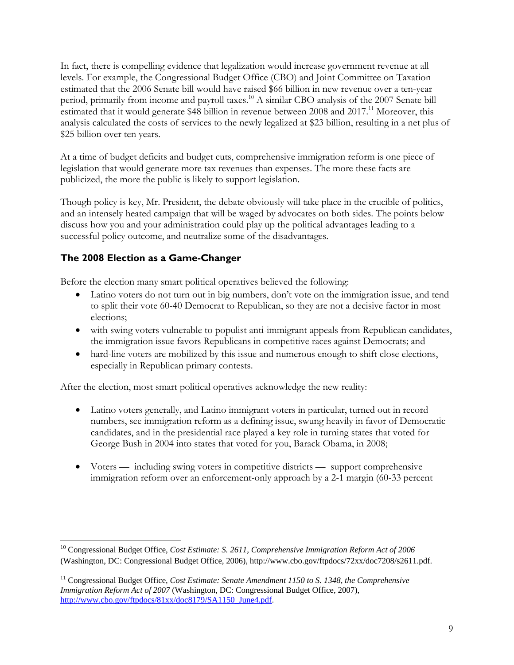In fact, there is compelling evidence that legalization would increase government revenue at all levels. For example, the Congressional Budget Office (CBO) and Joint Committee on Taxation estimated that the 2006 Senate bill would have raised \$66 billion in new revenue over a ten-year period, primarily from income and payroll taxes.<sup>10</sup> A similar CBO analysis of the 2007 Senate bill estimated that it would generate \$48 billion in revenue between  $2008$  and  $2017<sup>11</sup>$  Moreover, this analysis calculated the costs of services to the newly legalized at \$23 billion, resulting in a net plus of \$25 billion over ten years.

At a time of budget deficits and budget cuts, comprehensive immigration reform is one piece of legislation that would generate more tax revenues than expenses. The more these facts are publicized, the more the public is likely to support legislation.

Though policy is key, Mr. President, the debate obviously will take place in the crucible of politics, and an intensely heated campaign that will be waged by advocates on both sides. The points below discuss how you and your administration could play up the political advantages leading to a successful policy outcome, and neutralize some of the disadvantages.

#### **The 2008 Election as a Game-Changer**

Before the election many smart political operatives believed the following:

- Latino voters do not turn out in big numbers, don't vote on the immigration issue, and tend to split their vote 60-40 Democrat to Republican, so they are not a decisive factor in most elections;
- with swing voters vulnerable to populist anti-immigrant appeals from Republican candidates, the immigration issue favors Republicans in competitive races against Democrats; and
- hard-line voters are mobilized by this issue and numerous enough to shift close elections, especially in Republican primary contests.

After the election, most smart political operatives acknowledge the new reality:

- Latino voters generally, and Latino immigrant voters in particular, turned out in record numbers, see immigration reform as a defining issue, swung heavily in favor of Democratic candidates, and in the presidential race played a key role in turning states that voted for George Bush in 2004 into states that voted for you, Barack Obama, in 2008;
- Voters including swing voters in competitive districts support comprehensive immigration reform over an enforcement-only approach by a 2-1 margin (60-33 percent

 $\overline{a}$ <sup>10</sup> Congressional Budget Office, *Cost Estimate: S. 2611, Comprehensive Immigration Reform Act of 2006* (Washington, DC: Congressional Budget Office, 2006), http://www.cbo.gov/ftpdocs/72xx/doc7208/s2611.pdf.

<sup>11</sup> Congressional Budget Office, *Cost Estimate: Senate Amendment 1150 to S. 1348, the Comprehensive Immigration Reform Act of 2007* (Washington, DC: Congressional Budget Office, 2007), http://www.cbo.gov/ftpdocs/81xx/doc8179/SA1150\_June4.pdf.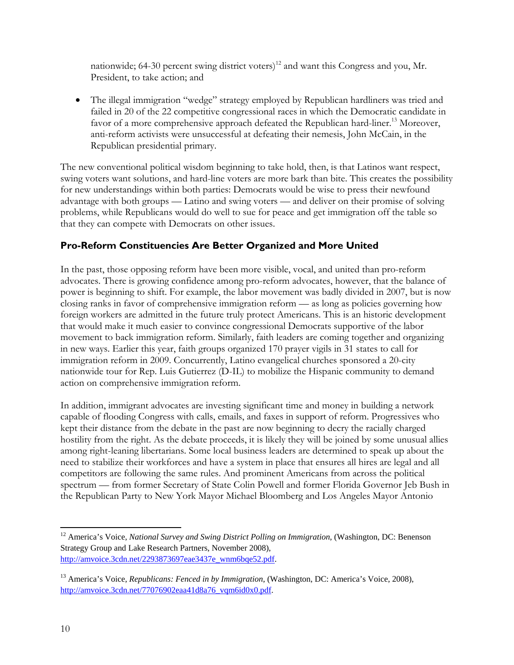nationwide; 64-30 percent swing district voters)<sup>12</sup> and want this Congress and you, Mr. President, to take action; and

• The illegal immigration "wedge" strategy employed by Republican hardliners was tried and failed in 20 of the 22 competitive congressional races in which the Democratic candidate in favor of a more comprehensive approach defeated the Republican hard-liner.<sup>13</sup> Moreover, anti-reform activists were unsuccessful at defeating their nemesis, John McCain, in the Republican presidential primary.

The new conventional political wisdom beginning to take hold, then, is that Latinos want respect, swing voters want solutions, and hard-line voters are more bark than bite. This creates the possibility for new understandings within both parties: Democrats would be wise to press their newfound advantage with both groups — Latino and swing voters — and deliver on their promise of solving problems, while Republicans would do well to sue for peace and get immigration off the table so that they can compete with Democrats on other issues.

#### **Pro-Reform Constituencies Are Better Organized and More United**

In the past, those opposing reform have been more visible, vocal, and united than pro-reform advocates. There is growing confidence among pro-reform advocates, however, that the balance of power is beginning to shift. For example, the labor movement was badly divided in 2007, but is now closing ranks in favor of comprehensive immigration reform — as long as policies governing how foreign workers are admitted in the future truly protect Americans. This is an historic development that would make it much easier to convince congressional Democrats supportive of the labor movement to back immigration reform. Similarly, faith leaders are coming together and organizing in new ways. Earlier this year, faith groups organized 170 prayer vigils in 31 states to call for immigration reform in 2009. Concurrently, Latino evangelical churches sponsored a 20-city nationwide tour for Rep. Luis Gutierrez (D-IL) to mobilize the Hispanic community to demand action on comprehensive immigration reform.

In addition, immigrant advocates are investing significant time and money in building a network capable of flooding Congress with calls, emails, and faxes in support of reform. Progressives who kept their distance from the debate in the past are now beginning to decry the racially charged hostility from the right. As the debate proceeds, it is likely they will be joined by some unusual allies among right-leaning libertarians. Some local business leaders are determined to speak up about the need to stabilize their workforces and have a system in place that ensures all hires are legal and all competitors are following the same rules. And prominent Americans from across the political spectrum — from former Secretary of State Colin Powell and former Florida Governor Jeb Bush in the Republican Party to New York Mayor Michael Bloomberg and Los Angeles Mayor Antonio

 $\overline{a}$ <sup>12</sup> America's Voice, *National Survey and Swing District Polling on Immigration*, (Washington, DC: Benenson Strategy Group and Lake Research Partners, November 2008), http://amvoice.3cdn.net/2293873697eae3437e\_wnm6bqe52.pdf.

<sup>13</sup> America's Voice, *Republicans: Fenced in by Immigration*, (Washington, DC: America's Voice, 2008), http://amvoice.3cdn.net/77076902eaa41d8a76\_vqm6id0x0.pdf.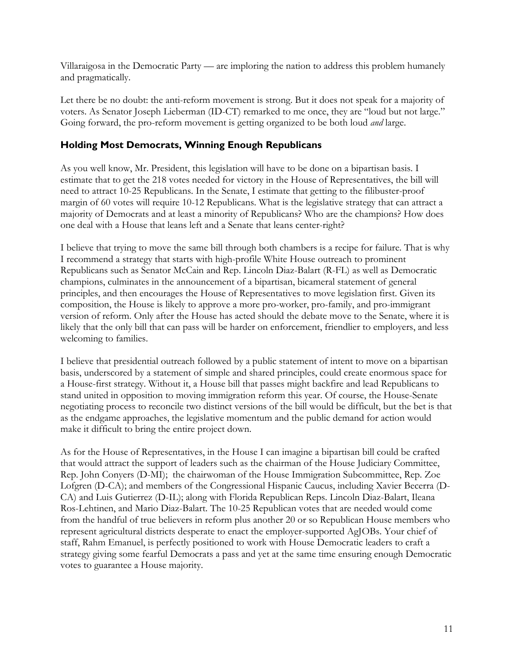Villaraigosa in the Democratic Party — are imploring the nation to address this problem humanely and pragmatically.

Let there be no doubt: the anti-reform movement is strong. But it does not speak for a majority of voters. As Senator Joseph Lieberman (ID-CT) remarked to me once, they are "loud but not large." Going forward, the pro-reform movement is getting organized to be both loud *and* large.

#### **Holding Most Democrats, Winning Enough Republicans**

As you well know, Mr. President, this legislation will have to be done on a bipartisan basis. I estimate that to get the 218 votes needed for victory in the House of Representatives, the bill will need to attract 10-25 Republicans. In the Senate, I estimate that getting to the filibuster-proof margin of 60 votes will require 10-12 Republicans. What is the legislative strategy that can attract a majority of Democrats and at least a minority of Republicans? Who are the champions? How does one deal with a House that leans left and a Senate that leans center-right?

I believe that trying to move the same bill through both chambers is a recipe for failure. That is why I recommend a strategy that starts with high-profile White House outreach to prominent Republicans such as Senator McCain and Rep. Lincoln Diaz-Balart (R-FL) as well as Democratic champions, culminates in the announcement of a bipartisan, bicameral statement of general principles, and then encourages the House of Representatives to move legislation first. Given its composition, the House is likely to approve a more pro-worker, pro-family, and pro-immigrant version of reform. Only after the House has acted should the debate move to the Senate, where it is likely that the only bill that can pass will be harder on enforcement, friendlier to employers, and less welcoming to families.

I believe that presidential outreach followed by a public statement of intent to move on a bipartisan basis, underscored by a statement of simple and shared principles, could create enormous space for a House-first strategy. Without it, a House bill that passes might backfire and lead Republicans to stand united in opposition to moving immigration reform this year. Of course, the House-Senate negotiating process to reconcile two distinct versions of the bill would be difficult, but the bet is that as the endgame approaches, the legislative momentum and the public demand for action would make it difficult to bring the entire project down.

As for the House of Representatives, in the House I can imagine a bipartisan bill could be crafted that would attract the support of leaders such as the chairman of the House Judiciary Committee, Rep. John Conyers (D-MI); the chairwoman of the House Immigration Subcommittee, Rep. Zoe Lofgren (D-CA); and members of the Congressional Hispanic Caucus, including Xavier Becerra (D-CA) and Luis Gutierrez (D-IL); along with Florida Republican Reps. Lincoln Diaz-Balart, Ileana Ros-Lehtinen, and Mario Diaz-Balart. The 10-25 Republican votes that are needed would come from the handful of true believers in reform plus another 20 or so Republican House members who represent agricultural districts desperate to enact the employer-supported AgJOBs. Your chief of staff, Rahm Emanuel, is perfectly positioned to work with House Democratic leaders to craft a strategy giving some fearful Democrats a pass and yet at the same time ensuring enough Democratic votes to guarantee a House majority.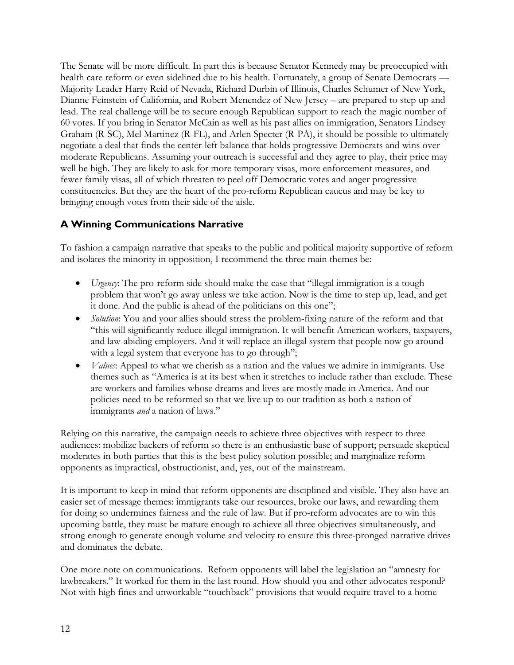The Senate will be more difficult. In part this is because Senator Kennedy may be preoccupied with health care reform or even sidelined due to his health. Fortunately, a group of Senate Democrats — Majority Leader Harry Reid of Nevada, Richard Durbin of Illinois, Charles Schumer of New York, Dianne Feinstein of California, and Robert Menendez of New Jersey – are prepared to step up and lead. The real challenge will be to secure enough Republican support to reach the magic number of 60 votes. If you bring in Senator McCain as well as his past allies on immigration, Senators Lindsey Graham (R-SC), Mel Martinez (R-FL), and Arlen Specter (R-PA), it should be possible to ultimately negotiate a deal that finds the center-left balance that holds progressive Democrats and wins over moderate Republicans. Assuming your outreach is successful and they agree to play, their price may well be high. They are likely to ask for more temporary visas, more enforcement measures, and fewer family visas, all of which threaten to peel off Democratic votes and anger progressive constituencies. But they are the heart of the pro-reform Republican caucus and may be key to bringing enough votes from their side of the aisle.

#### **A Winning Communications Narrative**

To fashion a campaign narrative that speaks to the public and political majority supportive of reform and isolates the minority in opposition, I recommend the three main themes be:

- *Urgency*: The pro-reform side should make the case that "illegal immigration is a tough problem that won't go away unless we take action. Now is the time to step up, lead, and get it done. And the public is ahead of the politicians on this one";
- *Solution*: You and your allies should stress the problem-fixing nature of the reform and that "this will significantly reduce illegal immigration. It will benefit American workers, taxpayers, and law-abiding employers. And it will replace an illegal system that people now go around with a legal system that everyone has to go through";
- *Values*: Appeal to what we cherish as a nation and the values we admire in immigrants. Use themes such as "America is at its best when it stretches to include rather than exclude. These are workers and families whose dreams and lives are mostly made in America. And our policies need to be reformed so that we live up to our tradition as both a nation of immigrants *and* a nation of laws."

Relying on this narrative, the campaign needs to achieve three objectives with respect to three audiences: mobilize backers of reform so there is an enthusiastic base of support; persuade skeptical moderates in both parties that this is the best policy solution possible; and marginalize reform opponents as impractical, obstructionist, and, yes, out of the mainstream.

It is important to keep in mind that reform opponents are disciplined and visible. They also have an easier set of message themes: immigrants take our resources, broke our laws, and rewarding them for doing so undermines fairness and the rule of law. But if pro-reform advocates are to win this upcoming battle, they must be mature enough to achieve all three objectives simultaneously, and strong enough to generate enough volume and velocity to ensure this three-pronged narrative drives and dominates the debate.

One more note on communications. Reform opponents will label the legislation an "amnesty for lawbreakers." It worked for them in the last round. How should you and other advocates respond? Not with high fines and unworkable "touchback" provisions that would require travel to a home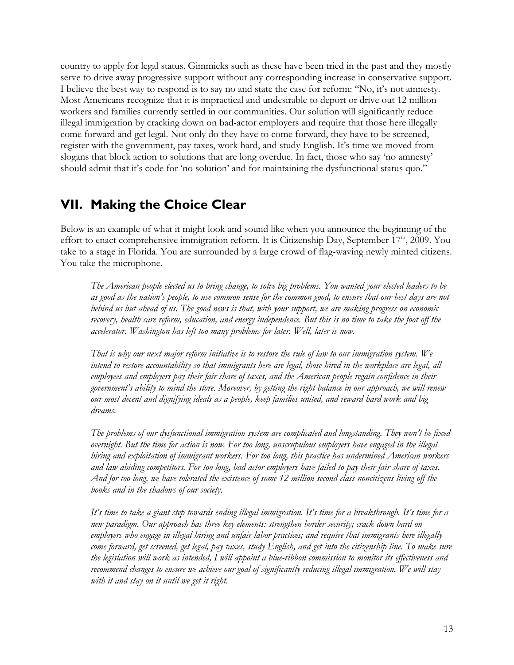country to apply for legal status. Gimmicks such as these have been tried in the past and they mostly serve to drive away progressive support without any corresponding increase in conservative support. I believe the best way to respond is to say no and state the case for reform: "No, it's not amnesty. Most Americans recognize that it is impractical and undesirable to deport or drive out 12 million workers and families currently settled in our communities. Our solution will significantly reduce illegal immigration by cracking down on bad-actor employers and require that those here illegally come forward and get legal. Not only do they have to come forward, they have to be screened, register with the government, pay taxes, work hard, and study English. It's time we moved from slogans that block action to solutions that are long overdue. In fact, those who say 'no amnesty' should admit that it's code for 'no solution' and for maintaining the dysfunctional status quo."

### **VII. Making the Choice Clear**

Below is an example of what it might look and sound like when you announce the beginning of the effort to enact comprehensive immigration reform. It is Citizenship Day, September 17<sup>th</sup>, 2009. You take to a stage in Florida. You are surrounded by a large crowd of flag-waving newly minted citizens. You take the microphone.

*The American people elected us to bring change, to solve big problems. You wanted your elected leaders to be as good as the nation's people, to use common sense for the common good, to ensure that our best days are not behind us but ahead of us. The good news is that, with your support, we are making progress on economic recovery, health care reform, education, and energy independence. But this is no time to take the foot off the accelerator. Washington has left too many problems for later. Well, later is now.* 

*That is why our next major reform initiative is to restore the rule of law to our immigration system. We intend to restore accountability so that immigrants here are legal, those hired in the workplace are legal, all employees and employers pay their fair share of taxes, and the American people regain confidence in their government's ability to mind the store. Moreover, by getting the right balance in our approach, we will renew our most decent and dignifying ideals as a people, keep families united, and reward hard work and big dreams.* 

*The problems of our dysfunctional immigration system are complicated and longstanding. They won't be fixed overnight. But the time for action is now. For too long, unscrupulous employers have engaged in the illegal hiring and exploitation of immigrant workers. For too long, this practice has undermined American workers and law-abiding competitors. For too long, bad-actor employers have failed to pay their fair share of taxes. And for too long, we have tolerated the existence of some 12 million second-class noncitizens living off the books and in the shadows of our society.* 

*It's time to take a giant step towards ending illegal immigration. It's time for a breakthrough. It's time for a new paradigm. Our approach has three key elements: strengthen border security; crack down hard on employers who engage in illegal hiring and unfair labor practices; and require that immigrants here illegally*  come forward, get screened, get legal, pay taxes, study English, and get into the citizenship line. To make sure *the legislation will work as intended, I will appoint a blue-ribbon commission to monitor its effectiveness and recommend changes to ensure we achieve our goal of significantly reducing illegal immigration. We will stay with it and stay on it until we get it right.*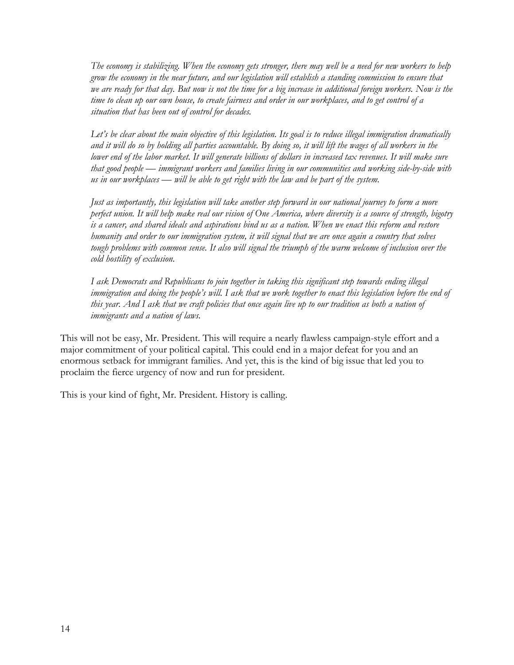*The economy is stabilizing. When the economy gets stronger, there may well be a need for new workers to help grow the economy in the near future, and our legislation will establish a standing commission to ensure that we are ready for that day. But now is not the time for a big increase in additional foreign workers. Now is the time to clean up our own house, to create fairness and order in our workplaces, and to get control of a situation that has been out of control for decades.* 

*Let's be clear about the main objective of this legislation. Its goal is to reduce illegal immigration dramatically and it will do so by holding all parties accountable. By doing so, it will lift the wages of all workers in the*  lower end of the labor market. It will generate billions of dollars in increased tax revenues. It will make sure *that good people* — *immigrant workers and families living in our communities and working side-by-side with us in our workplaces* — *will be able to get right with the law and be part of the system.* 

*Just as importantly, this legislation will take another step forward in our national journey to form a more perfect union. It will help make real our vision of One America, where diversity is a source of strength, bigotry is a cancer, and shared ideals and aspirations bind us as a nation. When we enact this reform and restore humanity and order to our immigration system, it will signal that we are once again a country that solves tough problems with common sense. It also will signal the triumph of the warm welcome of inclusion over the cold hostility of exclusion.* 

*I ask Democrats and Republicans to join together in taking this significant step towards ending illegal immigration and doing the people's will. I ask that we work together to enact this legislation before the end of this year. And I ask that we craft policies that once again live up to our tradition as both a nation of immigrants and a nation of laws.* 

This will not be easy, Mr. President. This will require a nearly flawless campaign-style effort and a major commitment of your political capital. This could end in a major defeat for you and an enormous setback for immigrant families. And yet, this is the kind of big issue that led you to proclaim the fierce urgency of now and run for president.

This is your kind of fight, Mr. President. History is calling.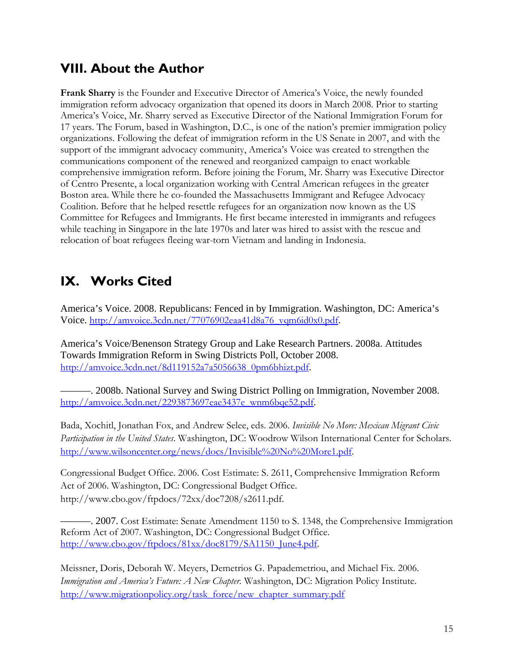## **VIII. About the Author**

**Frank Sharry** is the Founder and Executive Director of America's Voice, the newly founded immigration reform advocacy organization that opened its doors in March 2008. Prior to starting America's Voice, Mr. Sharry served as Executive Director of the National Immigration Forum for 17 years. The Forum, based in Washington, D.C., is one of the nation's premier immigration policy organizations. Following the defeat of immigration reform in the US Senate in 2007, and with the support of the immigrant advocacy community, America's Voice was created to strengthen the communications component of the renewed and reorganized campaign to enact workable comprehensive immigration reform. Before joining the Forum, Mr. Sharry was Executive Director of Centro Presente, a local organization working with Central American refugees in the greater Boston area. While there he co-founded the Massachusetts Immigrant and Refugee Advocacy Coalition. Before that he helped resettle refugees for an organization now known as the US Committee for Refugees and Immigrants. He first became interested in immigrants and refugees while teaching in Singapore in the late 1970s and later was hired to assist with the rescue and relocation of boat refugees fleeing war-torn Vietnam and landing in Indonesia.

# **IX. Works Cited**

America's Voice. 2008. Republicans: Fenced in by Immigration. Washington, DC: America's Voice. http://amvoice.3cdn.net/77076902eaa41d8a76\_vqm6id0x0.pdf.

America's Voice/Benenson Strategy Group and Lake Research Partners. 2008a. Attitudes Towards Immigration Reform in Swing Districts Poll, October 2008. http://amvoice.3cdn.net/8d119152a7a5056638\_0pm6bhizt.pdf.

———. 2008b. National Survey and Swing District Polling on Immigration, November 2008. http://amvoice.3cdn.net/2293873697eae3437e\_wnm6bqe52.pdf.

Bada, Xochitl, Jonathan Fox, and Andrew Selee, eds. 2006. *Invisible No More: Mexican Migrant Civic Participation in the United States*. Washington, DC: Woodrow Wilson International Center for Scholars. http://www.wilsoncenter.org/news/docs/Invisible%20No%20More1.pdf.

Congressional Budget Office. 2006. Cost Estimate: S. 2611, Comprehensive Immigration Reform Act of 2006. Washington, DC: Congressional Budget Office. http://www.cbo.gov/ftpdocs/72xx/doc7208/s2611.pdf.

———. 2007. Cost Estimate: Senate Amendment 1150 to S. 1348, the Comprehensive Immigration Reform Act of 2007. Washington, DC: Congressional Budget Office. http://www.cbo.gov/ftpdocs/81xx/doc8179/SA1150\_June4.pdf.

Meissner, Doris, Deborah W. Meyers, Demetrios G. Papademetriou, and Michael Fix. 2006. *Immigration and America's Future: A New Chapter.* Washington, DC: Migration Policy Institute. http://www.migrationpolicy.org/task\_force/new\_chapter\_summary.pdf